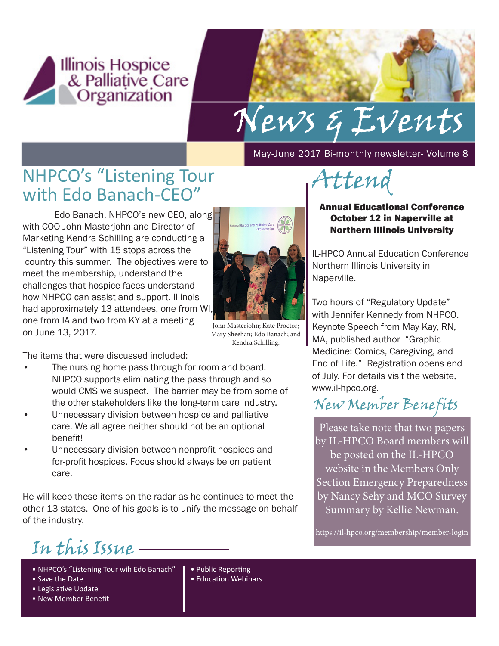

# News & Events

May-June 2017 Bi-monthly newsletter- Volume 8

## NHPCO's "Listening Tour with Edo Banach-CEO"

 Edo Banach, NHPCO's new CEO, along with COO John Masterjohn and Director of Marketing Kendra Schilling are conducting a "Listening Tour" with 15 stops across the country this summer. The objectives were to meet the membership, understand the challenges that hospice faces understand how NHPCO can assist and support. Illinois had approximately 13 attendees, one from WI, one from IA and two from KY at a meeting on June 13, 2017.



John Masterjohn; Kate Proctor; Mary Sheehan; Edo Banach; and Kendra Schilling.

The items that were discussed included:

- The nursing home pass through for room and board. NHPCO supports eliminating the pass through and so would CMS we suspect. The barrier may be from some of the other stakeholders like the long-term care industry.
- Unnecessary division between hospice and palliative care. We all agree neither should not be an optional benefit!
- Unnecessary division between nonprofit hospices and for-profit hospices. Focus should always be on patient care.

He will keep these items on the radar as he continues to meet the other 13 states. One of his goals is to unify the message on behalf of the industry.

In this Issue

- NHPCO's "Listening Tour wih Edo Banach"
- Save the Date
- Legislative Update
- New Member Benefit
- Public Reporting
- Education Webinars

Attend

Annual Educational Conference October 12 in Naperville at Northern Illinois University

IL-HPCO Annual Education Conference Northern Illinois University in Naperville.

Two hours of "Regulatory Update" with Jennifer Kennedy from NHPCO. Keynote Speech from May Kay, RN, MA, published author "Graphic Medicine: Comics, Caregiving, and End of Life." Registration opens end of July. For details visit the website, www.il-hpco.org.

## New Member Benefits

Please take note that two papers by IL-HPCO Board members will be posted on the IL-HPCO website in the Members Only Section Emergency Preparedness by Nancy Sehy and MCO Survey Summary by Kellie Newman.

https://il-hpco.org/membership/member-login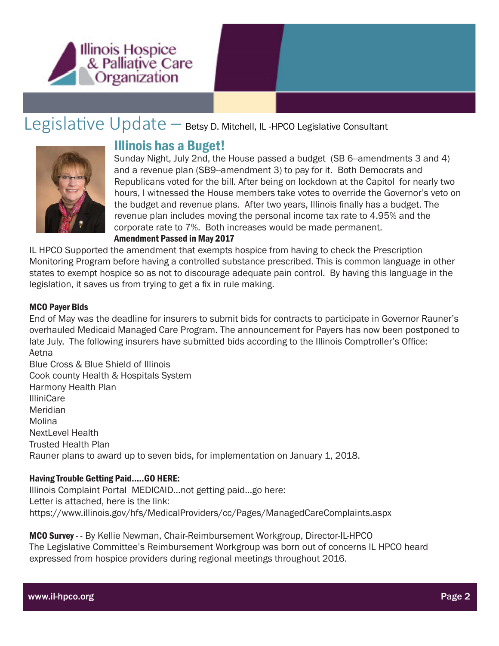

## Legislative Update – Betsy D. Mitchell, IL -HPCO Legislative Consultant



### Illinois has a Buget!

Sunday Night, July 2nd, the House passed a budget (SB 6--amendments 3 and 4) and a revenue plan (SB9--amendment 3) to pay for it. Both Democrats and Republicans voted for the bill. After being on lockdown at the Capitol for nearly two hours, I witnessed the House members take votes to override the Governor's veto on the budget and revenue plans. After two years, Illinois finally has a budget. The revenue plan includes moving the personal income tax rate to 4.95% and the corporate rate to 7%. Both increases would be made permanent. Amendment Passed in May 2017

IL HPCO Supported the amendment that exempts hospice from having to check the Prescription Monitoring Program before having a controlled substance prescribed. This is common language in other states to exempt hospice so as not to discourage adequate pain control. By having this language in the legislation, it saves us from trying to get a fix in rule making.

#### MCO Payer Bids

End of May was the deadline for insurers to submit bids for contracts to participate in Governor Rauner's overhauled Medicaid Managed Care Program. The announcement for Payers has now been postponed to late July. The following insurers have submitted bids according to the Illinois Comptroller's Office: Aetna

Blue Cross & Blue Shield of Illinois Cook county Health & Hospitals System Harmony Health Plan IlliniCare Meridian Molina NextLevel Health Trusted Health Plan Rauner plans to award up to seven bids, for implementation on January 1, 2018.

#### Having Trouble Getting Paid…..GO HERE:

Illinois Complaint Portal MEDICAID…not getting paid…go here: Letter is attached, here is the link: https://www.illinois.gov/hfs/MedicalProviders/cc/Pages/ManagedCareComplaints.aspx

MCO Survey - - By Kellie Newman, Chair-Reimbursement Workgroup, Director-IL-HPCO The Legislative Committee's Reimbursement Workgroup was born out of concerns IL HPCO heard expressed from hospice providers during regional meetings throughout 2016.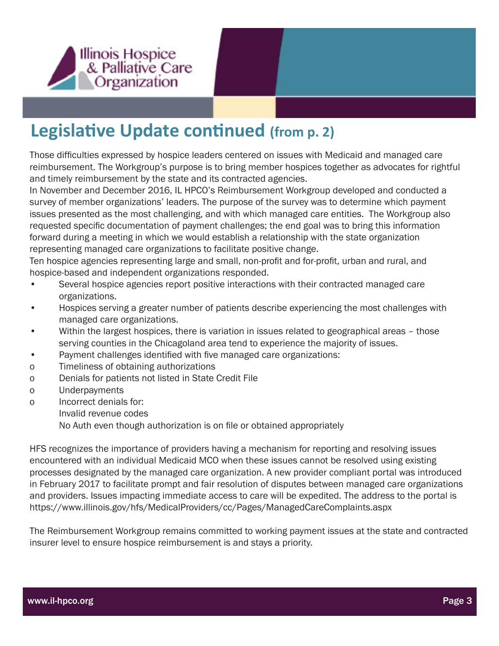

## **Legislative Update continued (from p. 2)**

Those difficulties expressed by hospice leaders centered on issues with Medicaid and managed care reimbursement. The Workgroup's purpose is to bring member hospices together as advocates for rightful and timely reimbursement by the state and its contracted agencies.

In November and December 2016, IL HPCO's Reimbursement Workgroup developed and conducted a survey of member organizations' leaders. The purpose of the survey was to determine which payment issues presented as the most challenging, and with which managed care entities. The Workgroup also requested specific documentation of payment challenges; the end goal was to bring this information forward during a meeting in which we would establish a relationship with the state organization representing managed care organizations to facilitate positive change.

Ten hospice agencies representing large and small, non-profit and for-profit, urban and rural, and hospice-based and independent organizations responded.

- Several hospice agencies report positive interactions with their contracted managed care organizations.
- Hospices serving a greater number of patients describe experiencing the most challenges with managed care organizations.
- Within the largest hospices, there is variation in issues related to geographical areas those serving counties in the Chicagoland area tend to experience the majority of issues.
- Payment challenges identified with five managed care organizations:
- o Timeliness of obtaining authorizations
- o Denials for patients not listed in State Credit File
- o Underpayments
- o Incorrect denials for:
	- Invalid revenue codes

No Auth even though authorization is on file or obtained appropriately

HFS recognizes the importance of providers having a mechanism for reporting and resolving issues encountered with an individual Medicaid MCO when these issues cannot be resolved using existing processes designated by the managed care organization. A new provider compliant portal was introduced in February 2017 to facilitate prompt and fair resolution of disputes between managed care organizations and providers. Issues impacting immediate access to care will be expedited. The address to the portal is https://www.illinois.gov/hfs/MedicalProviders/cc/Pages/ManagedCareComplaints.aspx

The Reimbursement Workgroup remains committed to working payment issues at the state and contracted insurer level to ensure hospice reimbursement is and stays a priority.